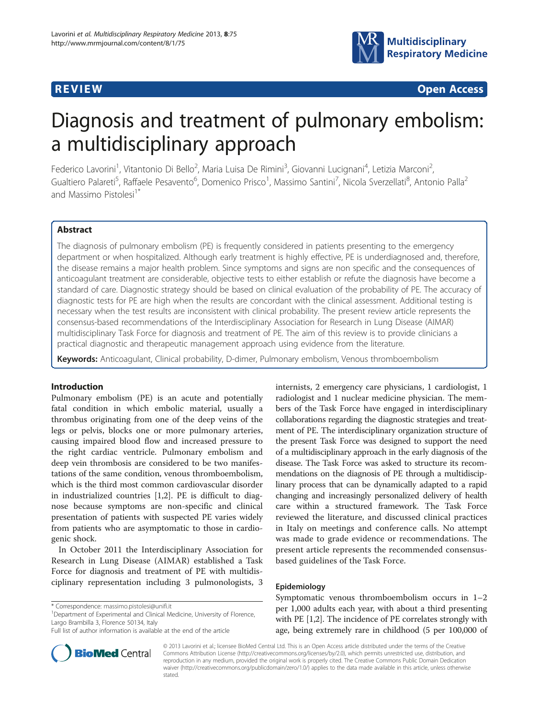

**REVIEW CONSTRUCTION CONSTRUCTION CONSTRUCTS** 

# Diagnosis and treatment of pulmonary embolism: a multidisciplinary approach

Federico Lavorini<sup>1</sup>, Vitantonio Di Bello<sup>2</sup>, Maria Luisa De Rimini<sup>3</sup>, Giovanni Lucignani<sup>4</sup>, Letizia Marconi<sup>2</sup> , Gualtiero Palareti<sup>5</sup>, Raffaele Pesavento<sup>6</sup>, Domenico Prisco<sup>1</sup>, Massimo Santini<sup>7</sup>, Nicola Sverzellati<sup>8</sup>, Antonio Palla<sup>2</sup> and Massimo Pistolesi<sup>1\*</sup>

# Abstract

The diagnosis of pulmonary embolism (PE) is frequently considered in patients presenting to the emergency department or when hospitalized. Although early treatment is highly effective, PE is underdiagnosed and, therefore, the disease remains a major health problem. Since symptoms and signs are non specific and the consequences of anticoagulant treatment are considerable, objective tests to either establish or refute the diagnosis have become a standard of care. Diagnostic strategy should be based on clinical evaluation of the probability of PE. The accuracy of diagnostic tests for PE are high when the results are concordant with the clinical assessment. Additional testing is necessary when the test results are inconsistent with clinical probability. The present review article represents the consensus-based recommendations of the Interdisciplinary Association for Research in Lung Disease (AIMAR) multidisciplinary Task Force for diagnosis and treatment of PE. The aim of this review is to provide clinicians a practical diagnostic and therapeutic management approach using evidence from the literature.

Keywords: Anticoagulant, Clinical probability, D-dimer, Pulmonary embolism, Venous thromboembolism

#### Introduction

Pulmonary embolism (PE) is an acute and potentially fatal condition in which embolic material, usually a thrombus originating from one of the deep veins of the legs or pelvis, blocks one or more pulmonary arteries, causing impaired blood flow and increased pressure to the right cardiac ventricle. Pulmonary embolism and deep vein thrombosis are considered to be two manifestations of the same condition, venous thromboembolism, which is the third most common cardiovascular disorder in industrialized countries [[1,2\]](#page-6-0). PE is difficult to diagnose because symptoms are non-specific and clinical presentation of patients with suspected PE varies widely from patients who are asymptomatic to those in cardiogenic shock.

In October 2011 the Interdisciplinary Association for Research in Lung Disease (AIMAR) established a Task Force for diagnosis and treatment of PE with multidisciplinary representation including 3 pulmonologists, 3

<sup>1</sup>Department of Experimental and Clinical Medicine, University of Florence, Largo Brambilla 3, Florence 50134, Italy

internists, 2 emergency care physicians, 1 cardiologist, 1 radiologist and 1 nuclear medicine physician. The members of the Task Force have engaged in interdisciplinary collaborations regarding the diagnostic strategies and treatment of PE. The interdisciplinary organization structure of the present Task Force was designed to support the need of a multidisciplinary approach in the early diagnosis of the disease. The Task Force was asked to structure its recommendations on the diagnosis of PE through a multidisciplinary process that can be dynamically adapted to a rapid changing and increasingly personalized delivery of health care within a structured framework. The Task Force reviewed the literature, and discussed clinical practices in Italy on meetings and conference calls. No attempt was made to grade evidence or recommendations. The present article represents the recommended consensusbased guidelines of the Task Force.

#### Epidemiology

Symptomatic venous thromboembolism occurs in 1–2 per 1,000 adults each year, with about a third presenting with PE [[1,2](#page-6-0)]. The incidence of PE correlates strongly with age, being extremely rare in childhood (5 per 100,000 of



© 2013 Lavorini et al.; licensee BioMed Central Ltd. This is an Open Access article distributed under the terms of the Creative Commons Attribution License [\(http://creativecommons.org/licenses/by/2.0\)](http://creativecommons.org/licenses/by/2.0), which permits unrestricted use, distribution, and reproduction in any medium, provided the original work is properly cited. The Creative Commons Public Domain Dedication waiver [\(http://creativecommons.org/publicdomain/zero/1.0/\)](http://creativecommons.org/publicdomain/zero/1.0/) applies to the data made available in this article, unless otherwise stated.

<sup>\*</sup> Correspondence: [massimo.pistolesi@unifi.it](mailto:massimo.pistolesi@unifi.it) <sup>1</sup>

Full list of author information is available at the end of the article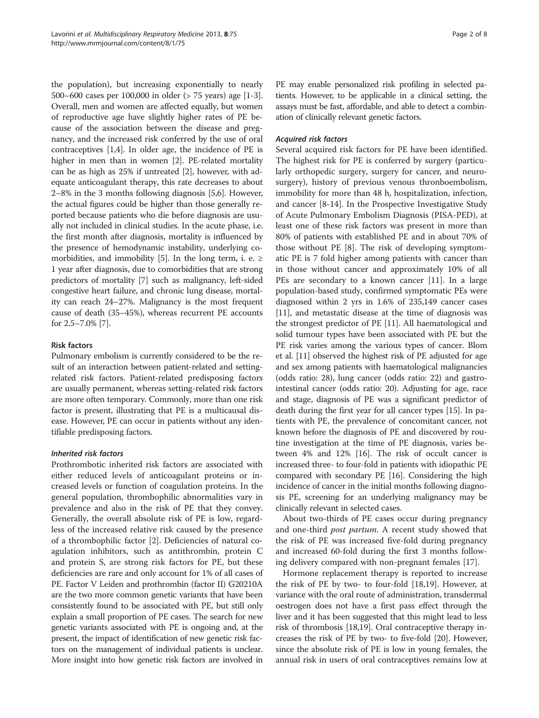the population), but increasing exponentially to nearly 500–600 cases per 100,000 in older (> 75 years) age [\[1](#page-6-0)-[3](#page-6-0)]. Overall, men and women are affected equally, but women of reproductive age have slightly higher rates of PE because of the association between the disease and pregnancy, and the increased risk conferred by the use of oral contraceptives [\[1,4\]](#page-6-0). In older age, the incidence of PE is higher in men than in women [\[2](#page-6-0)]. PE-related mortality can be as high as 25% if untreated [[2](#page-6-0)], however, with adequate anticoagulant therapy, this rate decreases to about 2–8% in the 3 months following diagnosis [\[5,6\]](#page-6-0). However, the actual figures could be higher than those generally reported because patients who die before diagnosis are usually not included in clinical studies. In the acute phase, i.e. the first month after diagnosis, mortality is influenced by the presence of hemodynamic instability, underlying co-morbidities, and immobility [\[5](#page-6-0)]. In the long term, i. e.  $\geq$ 1 year after diagnosis, due to comorbidities that are strong predictors of mortality [\[7\]](#page-6-0) such as malignancy, left-sided congestive heart failure, and chronic lung disease, mortality can reach 24–27%. Malignancy is the most frequent cause of death (35–45%), whereas recurrent PE accounts for 2.5–7.0% [\[7](#page-6-0)].

# Risk factors

Pulmonary embolism is currently considered to be the result of an interaction between patient-related and settingrelated risk factors. Patient-related predisposing factors are usually permanent, whereas setting-related risk factors are more often temporary. Commonly, more than one risk factor is present, illustrating that PE is a multicausal disease. However, PE can occur in patients without any identifiable predisposing factors.

# Inherited risk factors

Prothrombotic inherited risk factors are associated with either reduced levels of anticoagulant proteins or increased levels or function of coagulation proteins. In the general population, thrombophilic abnormalities vary in prevalence and also in the risk of PE that they convey. Generally, the overall absolute risk of PE is low, regardless of the increased relative risk caused by the presence of a thrombophilic factor [[2\]](#page-6-0). Deficiencies of natural coagulation inhibitors, such as antithrombin, protein C and protein S, are strong risk factors for PE, but these deficiencies are rare and only account for 1% of all cases of PE. Factor V Leiden and prothrombin (factor II) G20210A are the two more common genetic variants that have been consistently found to be associated with PE, but still only explain a small proportion of PE cases. The search for new genetic variants associated with PE is ongoing and, at the present, the impact of identification of new genetic risk factors on the management of individual patients is unclear. More insight into how genetic risk factors are involved in PE may enable personalized risk profiling in selected patients. However, to be applicable in a clinical setting, the assays must be fast, affordable, and able to detect a combination of clinically relevant genetic factors.

# Acquired risk factors

Several acquired risk factors for PE have been identified. The highest risk for PE is conferred by surgery (particularly orthopedic surgery, surgery for cancer, and neurosurgery), history of previous venous thronboembolism, immobility for more than 48 h, hospitalization, infection, and cancer [\[8](#page-6-0)-[14\]](#page-6-0). In the Prospective Investigative Study of Acute Pulmonary Embolism Diagnosis (PISA-PED), at least one of these risk factors was present in more than 80% of patients with established PE and in about 70% of those without PE [[8\]](#page-6-0). The risk of developing symptomatic PE is 7 fold higher among patients with cancer than in those without cancer and approximately 10% of all PEs are secondary to a known cancer [\[11](#page-6-0)]. In a large population-based study, confirmed symptomatic PEs were diagnosed within 2 yrs in 1.6% of 235,149 cancer cases [[11](#page-6-0)], and metastatic disease at the time of diagnosis was the strongest predictor of PE [[11](#page-6-0)]. All haematological and solid tumour types have been associated with PE but the PE risk varies among the various types of cancer. Blom et al. [\[11\]](#page-6-0) observed the highest risk of PE adjusted for age and sex among patients with haematological malignancies (odds ratio: 28), lung cancer (odds ratio: 22) and gastrointestinal cancer (odds ratio: 20). Adjusting for age, race and stage, diagnosis of PE was a significant predictor of death during the first year for all cancer types [\[15\]](#page-6-0). In patients with PE, the prevalence of concomitant cancer, not known before the diagnosis of PE and discovered by routine investigation at the time of PE diagnosis, varies between 4% and 12% [\[16\]](#page-6-0). The risk of occult cancer is increased three- to four-fold in patients with idiopathic PE compared with secondary PE [[16](#page-6-0)]. Considering the high incidence of cancer in the initial months following diagnosis PE, screening for an underlying malignancy may be clinically relevant in selected cases.

About two-thirds of PE cases occur during pregnancy and one-third *post partum*. A recent study showed that the risk of PE was increased five-fold during pregnancy and increased 60-fold during the first 3 months following delivery compared with non-pregnant females [[17\]](#page-6-0).

Hormone replacement therapy is reported to increase the risk of PE by two- to four-fold [\[18,19\]](#page-6-0). However, at variance with the oral route of administration, transdermal oestrogen does not have a first pass effect through the liver and it has been suggested that this might lead to less risk of thrombosis [\[18,19\]](#page-6-0). Oral contraceptive therapy increases the risk of PE by two- to five-fold [[20](#page-6-0)]. However, since the absolute risk of PE is low in young females, the annual risk in users of oral contraceptives remains low at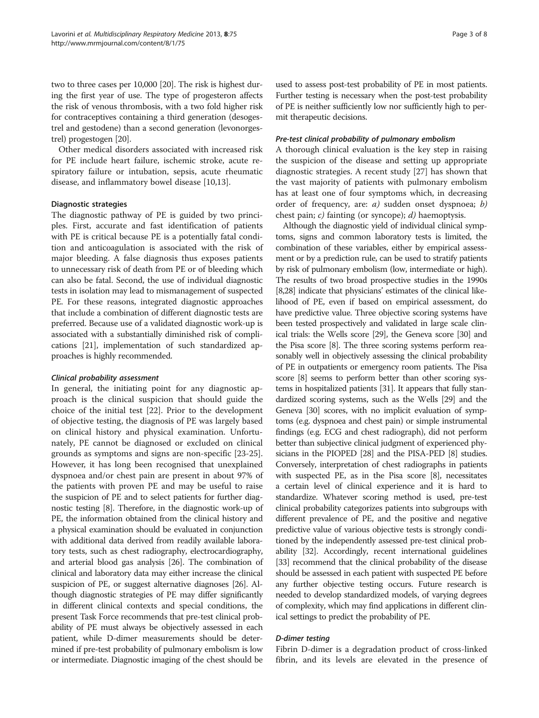two to three cases per 10,000 [\[20](#page-6-0)]. The risk is highest during the first year of use. The type of progesteron affects the risk of venous thrombosis, with a two fold higher risk for contraceptives containing a third generation (desogestrel and gestodene) than a second generation (levonorgestrel) progestogen [\[20\]](#page-6-0).

Other medical disorders associated with increased risk for PE include heart failure, ischemic stroke, acute respiratory failure or intubation, sepsis, acute rheumatic disease, and inflammatory bowel disease [[10,13\]](#page-6-0).

#### Diagnostic strategies

The diagnostic pathway of PE is guided by two principles. First, accurate and fast identification of patients with PE is critical because PE is a potentially fatal condition and anticoagulation is associated with the risk of major bleeding. A false diagnosis thus exposes patients to unnecessary risk of death from PE or of bleeding which can also be fatal. Second, the use of individual diagnostic tests in isolation may lead to mismanagement of suspected PE. For these reasons, integrated diagnostic approaches that include a combination of different diagnostic tests are preferred. Because use of a validated diagnostic work-up is associated with a substantially diminished risk of complications [[21](#page-6-0)], implementation of such standardized approaches is highly recommended.

#### Clinical probability assessment

In general, the initiating point for any diagnostic approach is the clinical suspicion that should guide the choice of the initial test [[22\]](#page-7-0). Prior to the development of objective testing, the diagnosis of PE was largely based on clinical history and physical examination. Unfortunately, PE cannot be diagnosed or excluded on clinical grounds as symptoms and signs are non-specific [\[23-25](#page-7-0)]. However, it has long been recognised that unexplained dyspnoea and/or chest pain are present in about 97% of the patients with proven PE and may be useful to raise the suspicion of PE and to select patients for further diagnostic testing [[8](#page-6-0)]. Therefore, in the diagnostic work-up of PE, the information obtained from the clinical history and a physical examination should be evaluated in conjunction with additional data derived from readily available laboratory tests, such as chest radiography, electrocardiography, and arterial blood gas analysis [\[26\]](#page-7-0). The combination of clinical and laboratory data may either increase the clinical suspicion of PE, or suggest alternative diagnoses [\[26](#page-7-0)]. Although diagnostic strategies of PE may differ significantly in different clinical contexts and special conditions, the present Task Force recommends that pre-test clinical probability of PE must always be objectively assessed in each patient, while D-dimer measurements should be determined if pre-test probability of pulmonary embolism is low or intermediate. Diagnostic imaging of the chest should be used to assess post-test probability of PE in most patients. Further testing is necessary when the post-test probability of PE is neither sufficiently low nor sufficiently high to permit therapeutic decisions.

#### Pre-test clinical probability of pulmonary embolism

A thorough clinical evaluation is the key step in raising the suspicion of the disease and setting up appropriate diagnostic strategies. A recent study [[27\]](#page-7-0) has shown that the vast majority of patients with pulmonary embolism has at least one of four symptoms which, in decreasing order of frequency, are: a) sudden onset dyspnoea; b) chest pain; c) fainting (or syncope); d) haemoptysis.

Although the diagnostic yield of individual clinical symptoms, signs and common laboratory tests is limited, the combination of these variables, either by empirical assessment or by a prediction rule, can be used to stratify patients by risk of pulmonary embolism (low, intermediate or high). The results of two broad prospective studies in the 1990s [[8](#page-6-0)[,28\]](#page-7-0) indicate that physicians' estimates of the clinical likelihood of PE, even if based on empirical assessment, do have predictive value. Three objective scoring systems have been tested prospectively and validated in large scale clinical trials: the Wells score [\[29\]](#page-7-0), the Geneva score [\[30](#page-7-0)] and the Pisa score [[8](#page-6-0)]. The three scoring systems perform reasonably well in objectively assessing the clinical probability of PE in outpatients or emergency room patients. The Pisa score [\[8\]](#page-6-0) seems to perform better than other scoring systems in hospitalized patients [\[31\]](#page-7-0). It appears that fully standardized scoring systems, such as the Wells [\[29](#page-7-0)] and the Geneva [\[30\]](#page-7-0) scores, with no implicit evaluation of symptoms (e.g. dyspnoea and chest pain) or simple instrumental findings (e.g. ECG and chest radiograph), did not perform better than subjective clinical judgment of experienced physicians in the PIOPED [\[28](#page-7-0)] and the PISA-PED [\[8\]](#page-6-0) studies. Conversely, interpretation of chest radiographs in patients with suspected PE, as in the Pisa score [\[8](#page-6-0)], necessitates a certain level of clinical experience and it is hard to standardize. Whatever scoring method is used, pre-test clinical probability categorizes patients into subgroups with different prevalence of PE, and the positive and negative predictive value of various objective tests is strongly conditioned by the independently assessed pre-test clinical probability [\[32\]](#page-7-0). Accordingly, recent international guidelines [[33](#page-7-0)] recommend that the clinical probability of the disease should be assessed in each patient with suspected PE before any further objective testing occurs. Future research is needed to develop standardized models, of varying degrees of complexity, which may find applications in different clinical settings to predict the probability of PE.

# D-dimer testing

Fibrin D-dimer is a degradation product of cross-linked fibrin, and its levels are elevated in the presence of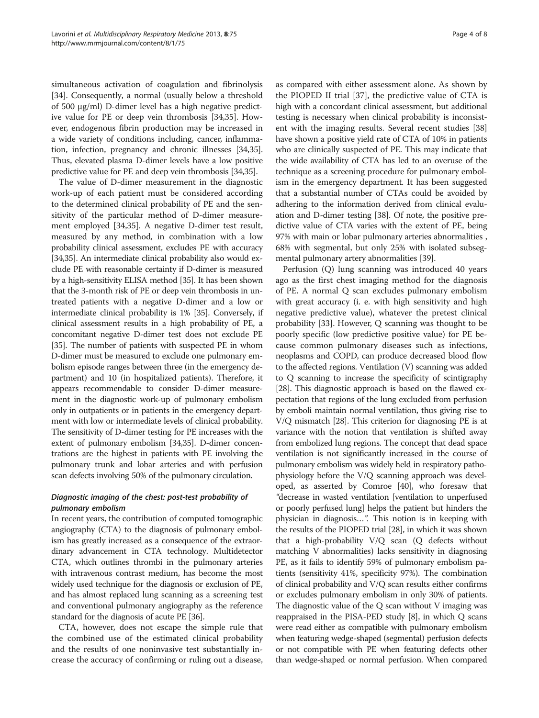simultaneous activation of coagulation and fibrinolysis [[34\]](#page-7-0). Consequently, a normal (usually below a threshold of 500 μg/ml) D-dimer level has a high negative predictive value for PE or deep vein thrombosis [[34,35](#page-7-0)]. However, endogenous fibrin production may be increased in a wide variety of conditions including, cancer, inflammation, infection, pregnancy and chronic illnesses [\[34,35](#page-7-0)]. Thus, elevated plasma D-dimer levels have a low positive predictive value for PE and deep vein thrombosis [\[34,35\]](#page-7-0).

The value of D-dimer measurement in the diagnostic work-up of each patient must be considered according to the determined clinical probability of PE and the sensitivity of the particular method of D-dimer measurement employed [[34,35](#page-7-0)]. A negative D-dimer test result, measured by any method, in combination with a low probability clinical assessment, excludes PE with accuracy [[34,35\]](#page-7-0). An intermediate clinical probability also would exclude PE with reasonable certainty if D-dimer is measured by a high-sensitivity ELISA method [[35](#page-7-0)]. It has been shown that the 3-month risk of PE or deep vein thrombosis in untreated patients with a negative D-dimer and a low or intermediate clinical probability is 1% [\[35\]](#page-7-0). Conversely, if clinical assessment results in a high probability of PE, a concomitant negative D-dimer test does not exclude PE [[35](#page-7-0)]. The number of patients with suspected PE in whom D-dimer must be measured to exclude one pulmonary embolism episode ranges between three (in the emergency department) and 10 (in hospitalized patients). Therefore, it appears recommendable to consider D-dimer measurement in the diagnostic work-up of pulmonary embolism only in outpatients or in patients in the emergency department with low or intermediate levels of clinical probability. The sensitivity of D-dimer testing for PE increases with the extent of pulmonary embolism [\[34,35](#page-7-0)]. D-dimer concentrations are the highest in patients with PE involving the pulmonary trunk and lobar arteries and with perfusion scan defects involving 50% of the pulmonary circulation.

# Diagnostic imaging of the chest: post-test probability of pulmonary embolism

In recent years, the contribution of computed tomographic angiography (CTA) to the diagnosis of pulmonary embolism has greatly increased as a consequence of the extraordinary advancement in CTA technology. Multidetector CTA, which outlines thrombi in the pulmonary arteries with intravenous contrast medium, has become the most widely used technique for the diagnosis or exclusion of PE, and has almost replaced lung scanning as a screening test and conventional pulmonary angiography as the reference standard for the diagnosis of acute PE [\[36\]](#page-7-0).

CTA, however, does not escape the simple rule that the combined use of the estimated clinical probability and the results of one noninvasive test substantially increase the accuracy of confirming or ruling out a disease,

as compared with either assessment alone. As shown by the PIOPED II trial [\[37\]](#page-7-0), the predictive value of CTA is high with a concordant clinical assessment, but additional testing is necessary when clinical probability is inconsistent with the imaging results. Several recent studies [[38](#page-7-0)] have shown a positive yield rate of CTA of 10% in patients who are clinically suspected of PE. This may indicate that the wide availability of CTA has led to an overuse of the technique as a screening procedure for pulmonary embolism in the emergency department. It has been suggested that a substantial number of CTAs could be avoided by adhering to the information derived from clinical evaluation and D-dimer testing [\[38\]](#page-7-0). Of note, the positive predictive value of CTA varies with the extent of PE, being 97% with main or lobar pulmonary arteries abnormalities , 68% with segmental, but only 25% with isolated subsegmental pulmonary artery abnormalities [[39](#page-7-0)].

Perfusion (Q) lung scanning was introduced 40 years ago as the first chest imaging method for the diagnosis of PE. A normal Q scan excludes pulmonary embolism with great accuracy (i. e. with high sensitivity and high negative predictive value), whatever the pretest clinical probability [[33\]](#page-7-0). However, Q scanning was thought to be poorly specific (low predictive positive value) for PE because common pulmonary diseases such as infections, neoplasms and COPD, can produce decreased blood flow to the affected regions. Ventilation (V) scanning was added to Q scanning to increase the specificity of scintigraphy [[28](#page-7-0)]. This diagnostic approach is based on the flawed expectation that regions of the lung excluded from perfusion by emboli maintain normal ventilation, thus giving rise to V/Q mismatch [\[28\]](#page-7-0). This criterion for diagnosing PE is at variance with the notion that ventilation is shifted away from embolized lung regions. The concept that dead space ventilation is not significantly increased in the course of pulmonary embolism was widely held in respiratory pathophysiology before the V/Q scanning approach was developed, as asserted by Comroe [\[40\]](#page-7-0), who foresaw that "decrease in wasted ventilation [ventilation to unperfused or poorly perfused lung] helps the patient but hinders the physician in diagnosis…". This notion is in keeping with the results of the PIOPED trial [[28](#page-7-0)], in which it was shown that a high-probability V/Q scan (Q defects without matching V abnormalities) lacks sensitivity in diagnosing PE, as it fails to identify 59% of pulmonary embolism patients (sensitivity 41%, specificity 97%). The combination of clinical probability and V/Q scan results either confirms or excludes pulmonary embolism in only 30% of patients. The diagnostic value of the Q scan without V imaging was reappraised in the PISA-PED study [\[8\]](#page-6-0), in which Q scans were read either as compatible with pulmonary embolism when featuring wedge-shaped (segmental) perfusion defects or not compatible with PE when featuring defects other than wedge-shaped or normal perfusion. When compared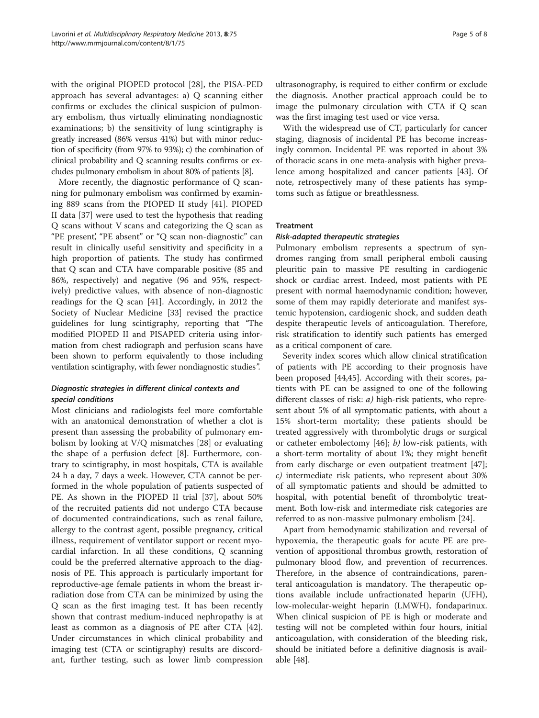with the original PIOPED protocol [\[28](#page-7-0)], the PISA-PED approach has several advantages: a) Q scanning either confirms or excludes the clinical suspicion of pulmonary embolism, thus virtually eliminating nondiagnostic examinations; b) the sensitivity of lung scintigraphy is greatly increased (86% versus 41%) but with minor reduction of specificity (from 97% to 93%); c) the combination of clinical probability and Q scanning results confirms or excludes pulmonary embolism in about 80% of patients [\[8](#page-6-0)].

More recently, the diagnostic performance of Q scanning for pulmonary embolism was confirmed by examining 889 scans from the PIOPED II study [[41\]](#page-7-0). PIOPED II data [[37\]](#page-7-0) were used to test the hypothesis that reading Q scans without V scans and categorizing the Q scan as "PE present', "PE absent" or "Q scan non-diagnostic" can result in clinically useful sensitivity and specificity in a high proportion of patients. The study has confirmed that Q scan and CTA have comparable positive (85 and 86%, respectively) and negative (96 and 95%, respectively) predictive values, with absence of non-diagnostic readings for the Q scan [\[41\]](#page-7-0). Accordingly, in 2012 the Society of Nuclear Medicine [\[33\]](#page-7-0) revised the practice guidelines for lung scintigraphy, reporting that "The modified PIOPED II and PISAPED criteria using information from chest radiograph and perfusion scans have been shown to perform equivalently to those including ventilation scintigraphy, with fewer nondiagnostic studies".

# Diagnostic strategies in different clinical contexts and special conditions

Most clinicians and radiologists feel more comfortable with an anatomical demonstration of whether a clot is present than assessing the probability of pulmonary embolism by looking at V/Q mismatches [[28](#page-7-0)] or evaluating the shape of a perfusion defect [\[8](#page-6-0)]. Furthermore, contrary to scintigraphy, in most hospitals, CTA is available 24 h a day, 7 days a week. However, CTA cannot be performed in the whole population of patients suspected of PE. As shown in the PIOPED II trial [\[37](#page-7-0)], about 50% of the recruited patients did not undergo CTA because of documented contraindications, such as renal failure, allergy to the contrast agent, possible pregnancy, critical illness, requirement of ventilator support or recent myocardial infarction. In all these conditions, Q scanning could be the preferred alternative approach to the diagnosis of PE. This approach is particularly important for reproductive-age female patients in whom the breast irradiation dose from CTA can be minimized by using the Q scan as the first imaging test. It has been recently shown that contrast medium-induced nephropathy is at least as common as a diagnosis of PE after CTA [\[42](#page-7-0)]. Under circumstances in which clinical probability and imaging test (CTA or scintigraphy) results are discordant, further testing, such as lower limb compression ultrasonography, is required to either confirm or exclude the diagnosis. Another practical approach could be to image the pulmonary circulation with CTA if Q scan was the first imaging test used or vice versa.

With the widespread use of CT, particularly for cancer staging, diagnosis of incidental PE has become increasingly common. Incidental PE was reported in about 3% of thoracic scans in one meta-analysis with higher prevalence among hospitalized and cancer patients [\[43\]](#page-7-0). Of note, retrospectively many of these patients has symptoms such as fatigue or breathlessness.

# Treatment

#### Risk-adapted therapeutic strategies

Pulmonary embolism represents a spectrum of syndromes ranging from small peripheral emboli causing pleuritic pain to massive PE resulting in cardiogenic shock or cardiac arrest. Indeed, most patients with PE present with normal haemodynamic condition; however, some of them may rapidly deteriorate and manifest systemic hypotension, cardiogenic shock, and sudden death despite therapeutic levels of anticoagulation. Therefore, risk stratification to identify such patients has emerged as a critical component of care.

Severity index scores which allow clinical stratification of patients with PE according to their prognosis have been proposed [[44,45](#page-7-0)]. According with their scores, patients with PE can be assigned to one of the following different classes of risk: *a*) high-risk patients, who represent about 5% of all symptomatic patients, with about a 15% short-term mortality; these patients should be treated aggressively with thrombolytic drugs or surgical or catheter embolectomy [[46](#page-7-0)]; b) low-risk patients, with a short-term mortality of about 1%; they might benefit from early discharge or even outpatient treatment [\[47](#page-7-0)]; c) intermediate risk patients, who represent about 30% of all symptomatic patients and should be admitted to hospital, with potential benefit of thrombolytic treatment. Both low-risk and intermediate risk categories are referred to as non-massive pulmonary embolism [[24\]](#page-7-0).

Apart from hemodynamic stabilization and reversal of hypoxemia, the therapeutic goals for acute PE are prevention of appositional thrombus growth, restoration of pulmonary blood flow, and prevention of recurrences. Therefore, in the absence of contraindications, parenteral anticoagulation is mandatory. The therapeutic options available include unfractionated heparin (UFH), low-molecular-weight heparin (LMWH), fondaparinux. When clinical suspicion of PE is high or moderate and testing will not be completed within four hours, initial anticoagulation, with consideration of the bleeding risk, should be initiated before a definitive diagnosis is available [\[48](#page-7-0)].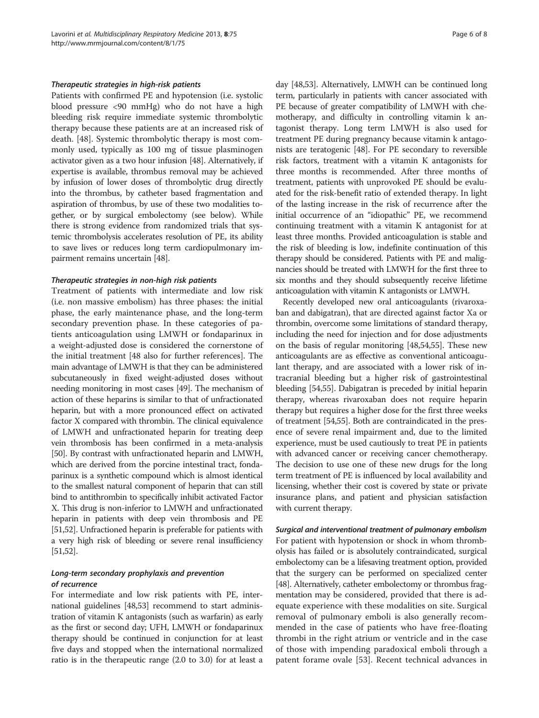#### Therapeutic strategies in high-risk patients

Patients with confirmed PE and hypotension (i.e. systolic blood pressure <90 mmHg) who do not have a high bleeding risk require immediate systemic thrombolytic therapy because these patients are at an increased risk of death. [[48\]](#page-7-0). Systemic thrombolytic therapy is most commonly used, typically as 100 mg of tissue plasminogen activator given as a two hour infusion [\[48](#page-7-0)]. Alternatively, if expertise is available, thrombus removal may be achieved by infusion of lower doses of thrombolytic drug directly into the thrombus, by catheter based fragmentation and aspiration of thrombus, by use of these two modalities together, or by surgical embolectomy (see below). While there is strong evidence from randomized trials that systemic thrombolysis accelerates resolution of PE, its ability to save lives or reduces long term cardiopulmonary impairment remains uncertain [\[48\]](#page-7-0).

#### Therapeutic strategies in non-high risk patients

Treatment of patients with intermediate and low risk (i.e. non massive embolism) has three phases: the initial phase, the early maintenance phase, and the long-term secondary prevention phase. In these categories of patients anticoagulation using LMWH or fondaparinux in a weight-adjusted dose is considered the cornerstone of the initial treatment [48 also for further references]. The main advantage of LMWH is that they can be administered subcutaneously in fixed weight-adjusted doses without needing monitoring in most cases [\[49](#page-7-0)]. The mechanism of action of these heparins is similar to that of unfractionated heparin, but with a more pronounced effect on activated factor X compared with thrombin. The clinical equivalence of LMWH and unfractionated heparin for treating deep vein thrombosis has been confirmed in a meta-analysis [[50](#page-7-0)]. By contrast with unfractionated heparin and LMWH, which are derived from the porcine intestinal tract, fondaparinux is a synthetic compound which is almost identical to the smallest natural component of heparin that can still bind to antithrombin to specifically inhibit activated Factor X. This drug is non-inferior to LMWH and unfractionated heparin in patients with deep vein thrombosis and PE [[51,52\]](#page-7-0). Unfractioned heparin is preferable for patients with a very high risk of bleeding or severe renal insufficiency [[51,52\]](#page-7-0).

#### Long-term secondary prophylaxis and prevention of recurrence

For intermediate and low risk patients with PE, international guidelines [\[48,53\]](#page-7-0) recommend to start administration of vitamin K antagonists (such as warfarin) as early as the first or second day; UFH, LMWH or fondaparinux therapy should be continued in conjunction for at least five days and stopped when the international normalized ratio is in the therapeutic range (2.0 to 3.0) for at least a day [\[48,53](#page-7-0)]. Alternatively, LMWH can be continued long term, particularly in patients with cancer associated with PE because of greater compatibility of LMWH with chemotherapy, and difficulty in controlling vitamin k antagonist therapy. Long term LMWH is also used for treatment PE during pregnancy because vitamin k antagonists are teratogenic [\[48\]](#page-7-0). For PE secondary to reversible risk factors, treatment with a vitamin K antagonists for three months is recommended. After three months of treatment, patients with unprovoked PE should be evaluated for the risk-benefit ratio of extended therapy. In light of the lasting increase in the risk of recurrence after the initial occurrence of an "idiopathic" PE, we recommend continuing treatment with a vitamin K antagonist for at least three months. Provided anticoagulation is stable and the risk of bleeding is low, indefinite continuation of this therapy should be considered. Patients with PE and malignancies should be treated with LMWH for the first three to six months and they should subsequently receive lifetime anticoagulation with vitamin K antagonists or LMWH.

Recently developed new oral anticoagulants (rivaroxaban and dabigatran), that are directed against factor Xa or thrombin, overcome some limitations of standard therapy, including the need for injection and for dose adjustments on the basis of regular monitoring [[48,54,55\]](#page-7-0). These new anticoagulants are as effective as conventional anticoagulant therapy, and are associated with a lower risk of intracranial bleeding but a higher risk of gastrointestinal bleeding [[54,55\]](#page-7-0). Dabigatran is preceded by initial heparin therapy, whereas rivaroxaban does not require heparin therapy but requires a higher dose for the first three weeks of treatment [[54,55\]](#page-7-0). Both are contraindicated in the presence of severe renal impairment and, due to the limited experience, must be used cautiously to treat PE in patients with advanced cancer or receiving cancer chemotherapy. The decision to use one of these new drugs for the long term treatment of PE is influenced by local availability and licensing, whether their cost is covered by state or private insurance plans, and patient and physician satisfaction with current therapy.

# Surgical and interventional treatment of pulmonary embolism For patient with hypotension or shock in whom thrombolysis has failed or is absolutely contraindicated, surgical embolectomy can be a lifesaving treatment option, provided that the surgery can be performed on specialized center [[48](#page-7-0)]. Alternatively, catheter embolectomy or thrombus fragmentation may be considered, provided that there is adequate experience with these modalities on site. Surgical removal of pulmonary emboli is also generally recommended in the case of patients who have free-floating thrombi in the right atrium or ventricle and in the case of those with impending paradoxical emboli through a patent forame ovale [\[53](#page-7-0)]. Recent technical advances in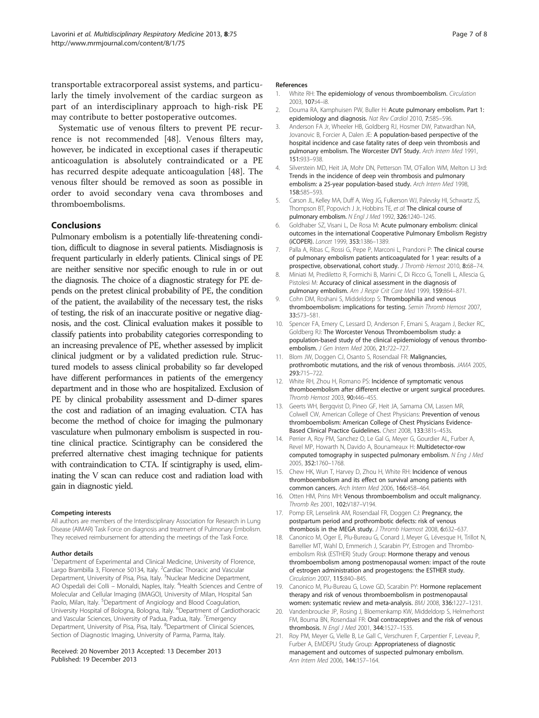<span id="page-6-0"></span>transportable extracorporeal assist systems, and particularly the timely involvement of the cardiac surgeon as part of an interdisciplinary approach to high-risk PE may contribute to better postoperative outcomes.

Systematic use of venous filters to prevent PE recurrence is not recommended [[48\]](#page-7-0). Venous filters may, however, be indicated in exceptional cases if therapeutic anticoagulation is absolutely contraindicated or a PE has recurred despite adequate anticoagulation [\[48](#page-7-0)]. The venous filter should be removed as soon as possible in order to avoid secondary vena cava thromboses and thromboembolisms.

# Conclusions

Pulmonary embolism is a potentially life-threatening condition, difficult to diagnose in several patients. Misdiagnosis is frequent particularly in elderly patients. Clinical sings of PE are neither sensitive nor specific enough to rule in or out the diagnosis. The choice of a diagnostic strategy for PE depends on the pretest clinical probability of PE, the condition of the patient, the availability of the necessary test, the risks of testing, the risk of an inaccurate positive or negative diagnosis, and the cost. Clinical evaluation makes it possible to classify patients into probability categories corresponding to an increasing prevalence of PE, whether assessed by implicit clinical judgment or by a validated prediction rule. Structured models to assess clinical probability so far developed have different performances in patients of the emergency department and in those who are hospitalized. Exclusion of PE by clinical probability assessment and D-dimer spares the cost and radiation of an imaging evaluation. CTA has become the method of choice for imaging the pulmonary vasculature when pulmonary embolism is suspected in routine clinical practice. Scintigraphy can be considered the preferred alternative chest imaging technique for patients with contraindication to CTA. If scintigraphy is used, eliminating the V scan can reduce cost and radiation load with gain in diagnostic yield.

#### Competing interests

All authors are members of the Interdisciplinary Association for Research in Lung Disease (AIMAR) Task Force on diagnosis and treatment of Pulmonary Embolism. They received reimbursement for attending the meetings of the Task Force.

#### Author details

<sup>1</sup>Department of Experimental and Clinical Medicine, University of Florence, Largo Brambilla 3, Florence 50134, Italy. <sup>2</sup>Cardiac Thoracic and Vascular Department, University of Pisa, Pisa, Italy. <sup>3</sup>Nuclear Medicine Department, AO Ospedali dei Colli - Monaldi, Naples, Italy. <sup>4</sup>Health Sciences and Centre of Molecular and Cellular Imaging (IMAGO), University of Milan, Hospital San Paolo, Milan, Italy. <sup>5</sup>Department of Angiology and Blood Coagulation, University Hospital of Bologna, Bologna, Italy. <sup>6</sup>Department of Cardiothoracic and Vascular Sciences, University of Padua, Padua, Italy. <sup>7</sup>Emergency Department, University of Pisa, Pisa, Italy. <sup>8</sup>Department of Clinical Sciences, Section of Diagnostic Imaging, University of Parma, Parma, Italy.

#### Received: 20 November 2013 Accepted: 13 December 2013 Published: 19 December 2013

#### References

- 1. White RH: The epidemiology of venous thromboembolism. Circulation 2003, 107:i4–i8.
- 2. Douma RA, Kamphuisen PW, Buller H: Acute pulmonary embolism. Part 1: epidemiology and diagnosis. Nat Rev Cardiol 2010, 7:585–596.
- 3. Anderson FA Jr, Wheeler HB, Goldberg RJ, Hosmer DW, Patwardhan NA, Jovanovic B, Forcier A, Dalen JE: A population-based perspective of the hospital incidence and case fatality rates of deep vein thrombosis and pulmonary embolism. The Worcester DVT Study. Arch Intern Med 1991, 151:933–938.
- 4. Silverstein MD, Heit JA, Mohr DN, Petterson TM, O'Fallon WM, Melton LJ 3rd: Trends in the incidence of deep vein thrombosis and pulmonary embolism: a 25-year population-based study. Arch Intern Med 1998, 158:585–593.
- 5. Carson JL, Kelley MA, Duff A, Weg JG, Fulkerson WJ, Palevsky HI, Schwartz JS, Thompson BT, Popovich J Jr, Hobbins TE, et al: The clinical course of pulmonary embolism. N Engl J Med 1992, 326:1240-1245.
- 6. Goldhaber SZ, Visani L, De Rosa M: Acute pulmonary embolism: clinical outcomes in the international Cooperative Pulmonary Embolism Registry (iCOPER). Lancet 1999, 353:1386–1389.
- 7. Palla A, Ribas C, Rossi G, Pepe P, Marconi L, Prandoni P: The clinical course of pulmonary embolism patients anticoagulated for 1 year: results of a prospective, observational, cohort study. J Thromb Hemost 2010, 8:68-74.
- 8. Miniati M, Prediletto R, Formichi B, Marini C, Di Ricco G, Tonelli L, Allescia G, Pistolesi M: Accuracy of clinical assessment in the diagnosis of pulmonary embolism. Am J Respir Crit Care Med 1999, 159:864-871.
- 9. Cohn DM, Roshani S, Middeldorp S: Thrombophilia and venous thromboembolism: implications for testing. Semin Thromb Hemost 2007, 33:573–581.
- 10. Spencer FA, Emery C, Lessard D, Anderson F, Emani S, Aragam J, Becker RC, Goldberg RJ: The Worcester Venous Thromboembolism study: a population-based study of the clinical epidemiology of venous thromboembolism. J Gen Intern Med 2006, 21:722–727.
- 11. Blom JW, Doggen CJ, Osanto S, Rosendaal FR: Malignancies, prothrombotic mutations, and the risk of venous thrombosis. JAMA 2005, 293:715–722.
- 12. White RH, Zhou H, Romano PS: Incidence of symptomatic venous thromboembolism after different elective or urgent surgical procedures. Thromb Hemost 2003, 90:446-455.
- 13. Geerts WH, Bergqvist D, Pineo GF, Heit JA, Samama CM, Lassen MR, Colwell CW, American College of Chest Physicians: Prevention of venous thromboembolism: American College of Chest Physicians Evidence-Based Clinical Practice Guidelines. Chest 2008, 133:381s–453s.
- 14. Perrier A, Roy PM, Sanchez O, Le Gal G, Meyer G, Gourdier AL, Furber A, Revel MP, Howarth N, Davido A, Bounameaux H: Multidetector-row computed tomography in suspected pulmonary embolism. N Eng J Med 2005, 352:1760–1768.
- 15. Chew HK, Wun T, Harvey D, Zhou H, White RH: Incidence of venous thromboembolism and its effect on survival among patients with common cancers. Arch Intern Med 2006, 166:458–464.
- 16. Otten HM, Prins MH: Venous thromboembolism and occult malignancy. Thromb Res 2001, 102:V187–V194.
- 17. Pomp ER, Lenselink AM, Rosendaal FR, Doggen CJ: Pregnancy, the postpartum period and prothrombotic defects: risk of venous thrombosis in the MEGA study. J Thromb Haemost 2008, 6:632-637.
- 18. Canonico M, Oger E, Plu-Bureau G, Conard J, Meyer G, Lévesque H, Trillot N, Barrellier MT, Wahl D, Emmerich J, Scarabin PY, Estrogen and Thromboembolism Risk (ESTHER) Study Group: Hormone therapy and venous thromboembolism among postmenopausal women: impact of the route of estrogen administration and progestogens: the ESTHER study. Circulation 2007, 115:840–845.
- 19. Canonico M, Plu-Bureau G, Lowe GD, Scarabin PY: Hormone replacement therapy and risk of venous thromboembolism in postmenopausal women: systematic review and meta-analysis. BMJ 2008, 336:1227–1231.
- 20. Vandenbroucke JP, Rosing J, Bloemenkamp KW, Middeldorp S, Helmerhorst FM, Bouma BN, Rosendaal FR: Oral contraceptives and the risk of venous thrombosis. N Engl J Med 2001, 344:1527–1535.
- 21. Roy PM, Meyer G, Vielle B, Le Gall C, Verschuren F, Carpentier F, Leveau P, Furber A, EMDEPU Study Group: Appropriateness of diagnostic management and outcomes of suspected pulmonary embolism. Ann Intern Med 2006, 144:157–164.